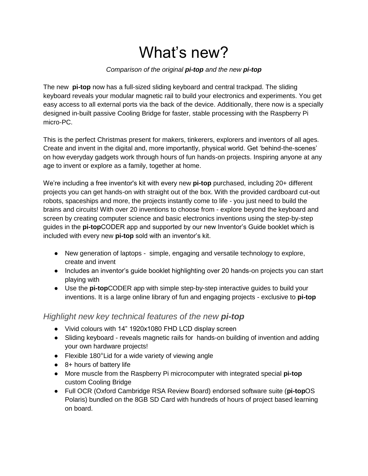## What's new?

## *Comparison of the original pi-top and the new pi-top*

The new **pi-top** now has a full-sized sliding keyboard and central trackpad. The sliding keyboard reveals your modular magnetic rail to build your electronics and experiments. You get easy access to all external ports via the back of the device. Additionally, there now is a specially designed in-built passive Cooling Bridge for faster, stable processing with the Raspberry Pi micro-PC.

This is the perfect Christmas present for makers, tinkerers, explorers and inventors of all ages. Create and invent in the digital and, more importantly, physical world. Get 'behind-the-scenes' on how everyday gadgets work through hours of fun hands-on projects. Inspiring anyone at any age to invent or explore as a family, together at home.

We're including a free inventor's kit with every new **pi-top** purchased, including 20+ different projects you can get hands-on with straight out of the box. With the provided cardboard cut-out robots, spaceships and more, the projects instantly come to life - you just need to build the brains and circuits! With over 20 inventions to choose from - explore beyond the keyboard and screen by creating computer science and basic electronics inventions using the step-by-step guides in the **pi-top**CODER app and supported by our new Inventor's Guide booklet which is included with every new **pi-top** sold with an inventor's kit.

- New generation of laptops simple, engaging and versatile technology to explore, create and invent
- Includes an inventor's guide booklet highlighting over 20 hands-on projects you can start playing with
- Use the **pi-top**CODER app with simple step-by-step interactive guides to build your inventions. It is a large online library of fun and engaging projects - exclusive to **pi-top**

## *Highlight new key technical features of the new pi-top*

- Vivid colours with 14" 1920x1080 FHD LCD display screen
- Sliding keyboard reveals magnetic rails for hands-on building of invention and adding your own hardware projects!
- Flexible 180°Lid for a wide variety of viewing angle
- 8+ hours of battery life
- More muscle from the Raspberry Pi microcomputer with integrated special **pi-top** custom Cooling Bridge
- Full OCR (Oxford Cambridge RSA Review Board) endorsed software suite (**pi-top**OS Polaris) bundled on the 8GB SD Card with hundreds of hours of project based learning on board.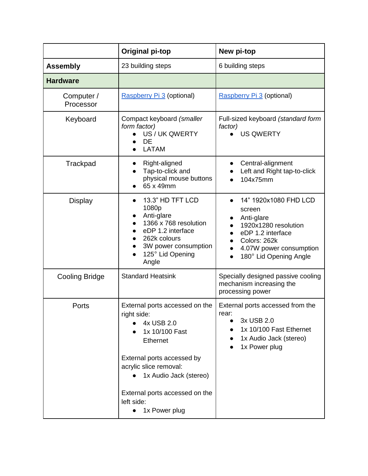|                         | <b>Original pi-top</b>                                                                                                                                                                                                                              | New pi-top                                                                                                                                                      |
|-------------------------|-----------------------------------------------------------------------------------------------------------------------------------------------------------------------------------------------------------------------------------------------------|-----------------------------------------------------------------------------------------------------------------------------------------------------------------|
| <b>Assembly</b>         | 23 building steps                                                                                                                                                                                                                                   | 6 building steps                                                                                                                                                |
| <b>Hardware</b>         |                                                                                                                                                                                                                                                     |                                                                                                                                                                 |
| Computer /<br>Processor | Raspberry Pi 3 (optional)                                                                                                                                                                                                                           | Raspberry Pi 3 (optional)                                                                                                                                       |
| Keyboard                | Compact keyboard (smaller<br>form factor)<br>US / UK QWERTY<br><b>DE</b><br><b>LATAM</b>                                                                                                                                                            | Full-sized keyboard (standard form<br>factor)<br><b>US QWERTY</b>                                                                                               |
| Trackpad                | Right-aligned<br>Tap-to-click and<br>physical mouse buttons<br>65 x 49mm                                                                                                                                                                            | Central-alignment<br>Left and Right tap-to-click<br>104x75mm                                                                                                    |
| <b>Display</b>          | 13.3" HD TFT LCD<br>1080p<br>Anti-glare<br>1366 x 768 resolution<br>eDP 1.2 interface<br>262k colours<br>3W power consumption<br>125° Lid Opening<br>Angle                                                                                          | 14" 1920x1080 FHD LCD<br>screen<br>Anti-glare<br>1920x1280 resolution<br>eDP 1.2 interface<br>Colors: 262k<br>4.07W power consumption<br>180° Lid Opening Angle |
| <b>Cooling Bridge</b>   | <b>Standard Heatsink</b>                                                                                                                                                                                                                            | Specially designed passive cooling<br>mechanism increasing the<br>processing power                                                                              |
| Ports                   | External ports accessed on the<br>right side:<br>4x USB 2.0<br>1x 10/100 Fast<br><b>Ethernet</b><br>External ports accessed by<br>acrylic slice removal:<br>1x Audio Jack (stereo)<br>External ports accessed on the<br>left side:<br>1x Power plug | External ports accessed from the<br>rear:<br>3x USB 2.0<br>1x 10/100 Fast Ethernet<br>1x Audio Jack (stereo)<br>1x Power plug                                   |